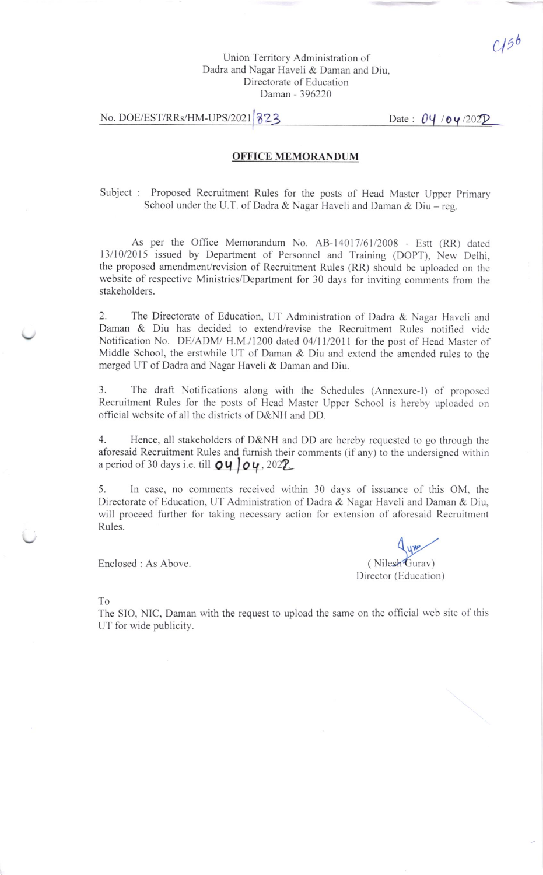# Union Territory Administration of Dadra and Nagar Haveli & Daman and Diu, Directorate of Education Daman - 396220

# No. DOE/EST/RRs/HM-UPS/2021 223

Date :  $04/04/2022$ 

# OFFICE MEMORANDUM

Subject : Proposed Recruitment Rules for the posts of Head Master Upper Primary School under the U.T. of Dadra & Nagar Haveli and Daman & Diu - reg.

As per the Office Memorandum No. AB-14017/61/2008 - Estt (RR) dated 13/10/2015 issued by Department of Personnel and Training (DOPT), New Delhi, the proposed amendment/revision of Recruitment Rules (RR) should be uploaded on the website of respective Ministries/Department for 30 days for inviting comments from the stakeholders.

2. The Directorate of Education, UT Administration of Dadra & Nagar Haveli and Daman & Diu has decided to extend/revise the Recruitment Rules notified vide Notification No. DE/ADM/ H.M./1200 dated 04/11/2011 for the post of Head Master of Middle School, the erstwhile UT of Daman & Diu and extend the amended rules to the merged UT of Dadra and Nagar Haveli & Daman and Diu.

3. The draft Notifications along with the Schedules (Annexure-l) of proposcd Recruitment Rules for the posts of Head Master Upper School is hereby uploaded on official website of all the districts of D&NH and DD.

4. Hence, all stakeholders of D&NH and DD are hereby requested to go through the aforesaid Recruitment Rules and furnish their comments (if any) to the undersigned within a period of 30 days i.e. till  $O\vert\vert O\vert$  . 2022.

5. In case, no comments received within 30 days of issuance of this OM, the Directorate of Education, UT Administration of Dadra & Nagar Haveli and Daman & Diu, will proceed further for taking necessary action for extension of aforesaid Recruitment Rules.

Enclosed : As Above

 $\frac{1}{2}$ (Nilesh<sup>2</sup>Gurav) Director (Education)

To

The SIO, NIC, Daman with the request to upload the same on the official web site of this UT for wide publicity.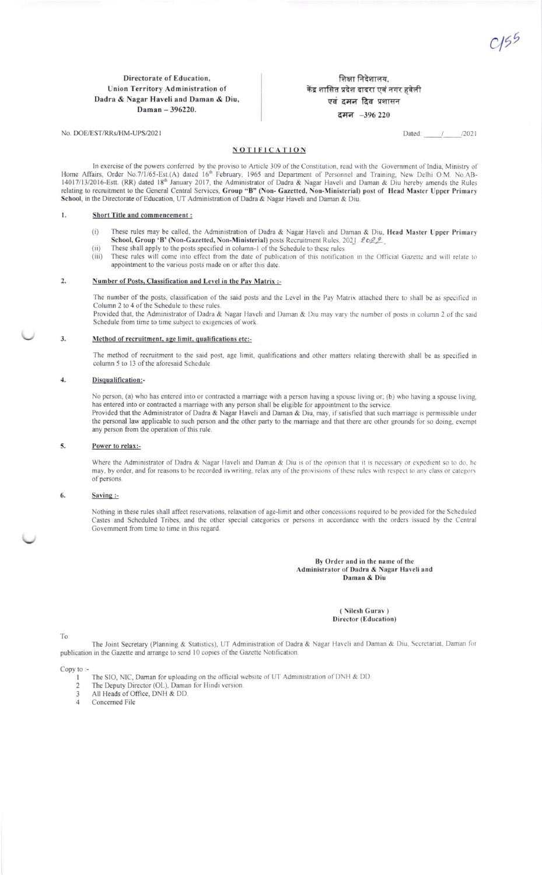$C15<sup>5</sup>$ 

### Directorate of Education, Union Territory Administration of Dadra & Nagar Haveli and Daman & Diu, Daman  $-396220$ .

शिक्षा निदेशालय, केंद्र शासित प्रदेश दादरा एवं नगर हवेली एवं दमन दिव प्रशासन दमन -396 220

> Dated:  $\frac{1}{\sqrt{2}}$  $/2021$

### **NOTIFICATION**

In exercise of the powers conferred by the proviso to Article 309 of the Constitution, read with the Government of India, Ministry of Home Affairs, Order No.7/1/65-Est. (A) dated 16<sup>th</sup> February, 1965 and Department of Personnel and Training, New Delhi O.M. No.AB-<br>14017/13/2016-Estt. (RR) dated 18<sup>th</sup> January 2017, the Administrator of Dadra & Nagar Have School, in the Directorate of Education, UT Administration of Dadra & Nagar Haveli and Daman & Diu.

#### $\mathbf{L}$ **Short Title and commencement:**

No. DOE/EST/RRs/HM-UPS/2021

- $(i)$ These rules may be called, the Administration of Dadra & Nagar Haveli and Daman & Diu, Head Master Upper Primary School, Group 'B' (Non-Gazetted, Non-Ministerial) posts Recruitment Rules, 2021. 2022.
- These shall apply to the posts specified in column-1 of the Schedule to these rules.  $(ii)$
- $(iii)$ These rules will come into effect from the date of publication of this notification in the Official Gazette and will relate to appointment to the various posts made on or after this date.

#### $\overline{2}$ . Number of Posts, Classification and Level in the Pay Matrix :-

The number of the posts, classification of the said posts and the Level in the Pay Matrix attached there to shall be as specified in Column 2 to 4 of the Schedule to these rules

Provided that, the Administrator of Dadra & Nagar Haveli and Daman & Diu may vary the number of posts in column 2 of the said Schedule from time to time subject to exigencies of work.

#### $3.$ Method of recruitment, age limit, qualifications etc:-

The method of recruitment to the said post, age limit, qualifications and other matters relating therewith shall be as specified in column 5 to 13 of the aforesaid Schedule.

#### $\overline{4}$ . Disqualification:-

No person, (a) who has entered into or contracted a marriage with a person having a spouse living or; (b) who having a spouse living, has entered into or contracted a marriage with any person shall be eligible for appointment to the service. Provided that the Administrator of Dadra & Nagar Haveli and Daman & Diu, may, if satisfied that such marriage is permissible under the personal law applicable to such person and the other party to the marriage and that there are other grounds for so doing, exempt any person from the operation of this rule.

#### 5. Power to relax:-

Where the Administrator of Dadra & Nagar Haveli and Daman & Diu is of the opinion that it is necessary or expedient so to do, he may, by order, and for reasons to be recorded in writing, relax any of the provisions of these rules with respect to any class or category of persons.

#### 6. Saving :-

Nothing in these rules shall affect reservations, relaxation of age-limit and other concessions required to be provided for the Scheduled Castes and Scheduled Tribes, and the other special categories or persons in accordance with the orders issued by the Central Government from time to time in this regard.

### By Order and in the name of the Administrator of Dadra & Nagar Haveli and Daman & Diu

### (Nilesh Gurav) Director (Education)

To

The Joint Secretary (Planning & Statistics), UT Administration of Dadra & Nagar Haveli and Daman & Diu, Secretariat, Daman for publication in the Gazette and arrange to send 10 copies of the Gazette Notification.

### Copy to:

- The SIO, NIC, Daman for uploading on the official website of UT Administration of DNH & DD.
- The Deputy Director (OL), Daman for Hindi version.  $\overline{c}$
- 3 All Heads of Office, DNH & DD.
- $\overline{4}$ Concerned File